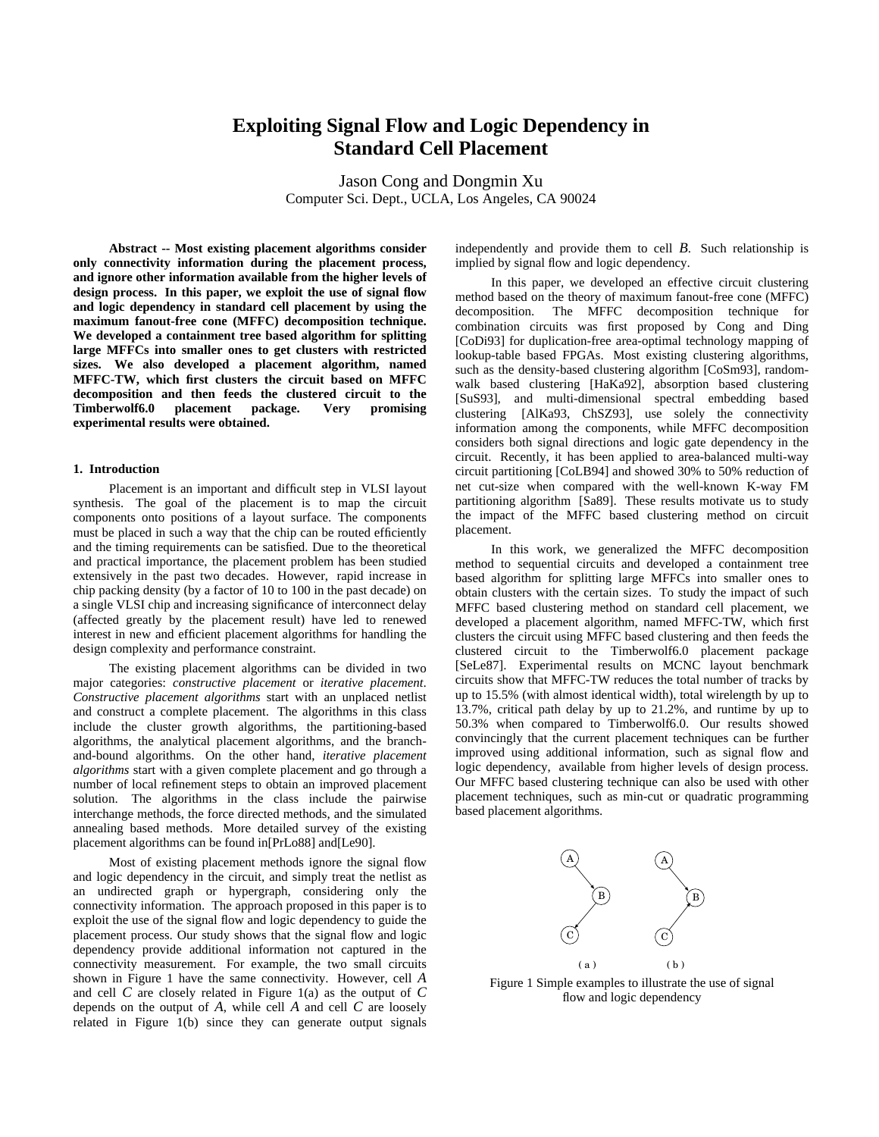# **Exploiting Signal Flow and Logic Dependency in Standard Cell Placement**

Jason Cong and Dongmin Xu Computer Sci. Dept., UCLA, Los Angeles, CA 90024

**Abstract -- Most existing placement algorithms consider only connectivity information during the placement process, and ignore other information available from the higher levels of design process. In this paper, we exploit the use of signal flow and logic dependency in standard cell placement by using the maximum fanout-free cone (MFFC) decomposition technique. We developed a containment tree based algorithm for splitting large MFFCs into smaller ones to get clusters with restricted sizes. We also developed a placement algorithm, named MFFC-TW, which first clusters the circuit based on MFFC decomposition and then feeds the clustered circuit to the Timberwolf6.0 placement package. Very promising experimental results were obtained.**

## **1. Introduction**

Placement is an important and difficult step in VLSI layout synthesis. The goal of the placement is to map the circuit components onto positions of a layout surface. The components must be placed in such a way that the chip can be routed efficiently and the timing requirements can be satisfied. Due to the theoretical and practical importance, the placement problem has been studied extensively in the past two decades. However, rapid increase in chip packing density (by a factor of 10 to 100 in the past decade) on a single VLSI chip and increasing significance of interconnect delay (affected greatly by the placement result) have led to renewed interest in new and efficient placement algorithms for handling the design complexity and performance constraint.

The existing placement algorithms can be divided in two major categories: *constructive placement* or *iterative placement*. *Constructive placement algorithms* start with an unplaced netlist and construct a complete placement. The algorithms in this class include the cluster growth algorithms, the partitioning-based algorithms, the analytical placement algorithms, and the branchand-bound algorithms. On the other hand, *iterative placement algorithms* start with a given complete placement and go through a number of local refinement steps to obtain an improved placement solution. The algorithms in the class include the pairwise interchange methods, the force directed methods, and the simulated annealing based methods. More detailed survey of the existing placement algorithms can be found in[PrLo88] and[Le90].

Most of existing placement methods ignore the signal flow and logic dependency in the circuit, and simply treat the netlist as an undirected graph or hypergraph, considering only the connectivity information. The approach proposed in this paper is to exploit the use of the signal flow and logic dependency to guide the placement process. Our study shows that the signal flow and logic dependency provide additional information not captured in the connectivity measurement. For example, the two small circuits shown in Figure 1 have the same connectivity. However, cell *A* and cell *C* are closely related in Figure 1(a) as the output of *C* depends on the output of *A*, while cell *A* and cell *C* are loosely related in Figure  $1(b)$  since they can generate output signals

independently and provide them to cell *B*. Such relationship is implied by signal flow and logic dependency.

In this paper, we developed an effective circuit clustering method based on the theory of maximum fanout-free cone (MFFC) decomposition. The MFFC decomposition technique for combination circuits was first proposed by Cong and Ding [CoDi93] for duplication-free area-optimal technology mapping of lookup-table based FPGAs. Most existing clustering algorithms, such as the density-based clustering algorithm [CoSm93], randomwalk based clustering [HaKa92], absorption based clustering [SuS93], and multi-dimensional spectral embedding based clustering [AlKa93, ChSZ93], use solely the connectivity information among the components, while MFFC decomposition considers both signal directions and logic gate dependency in the circuit. Recently, it has been applied to area-balanced multi-way circuit partitioning [CoLB94] and showed 30% to 50% reduction of net cut-size when compared with the well-known K-way FM partitioning algorithm [Sa89]. These results motivate us to study the impact of the MFFC based clustering method on circuit placement.

In this work, we generalized the MFFC decomposition method to sequential circuits and developed a containment tree based algorithm for splitting large MFFCs into smaller ones to obtain clusters with the certain sizes. To study the impact of such MFFC based clustering method on standard cell placement, we developed a placement algorithm, named MFFC-TW, which first clusters the circuit using MFFC based clustering and then feeds the clustered circuit to the Timberwolf6.0 placement package [SeLe87]. Experimental results on MCNC layout benchmark circuits show that MFFC-TW reduces the total number of tracks by up to 15.5% (with almost identical width), total wirelength by up to 13.7%, critical path delay by up to 21.2%, and runtime by up to 50.3% when compared to Timberwolf6.0. Our results showed convincingly that the current placement techniques can be further improved using additional information, such as signal flow and logic dependency, available from higher levels of design process. Our MFFC based clustering technique can also be used with other placement techniques, such as min-cut or quadratic programming based placement algorithms.



Figure 1 Simple examples to illustrate the use of signal flow and logic dependency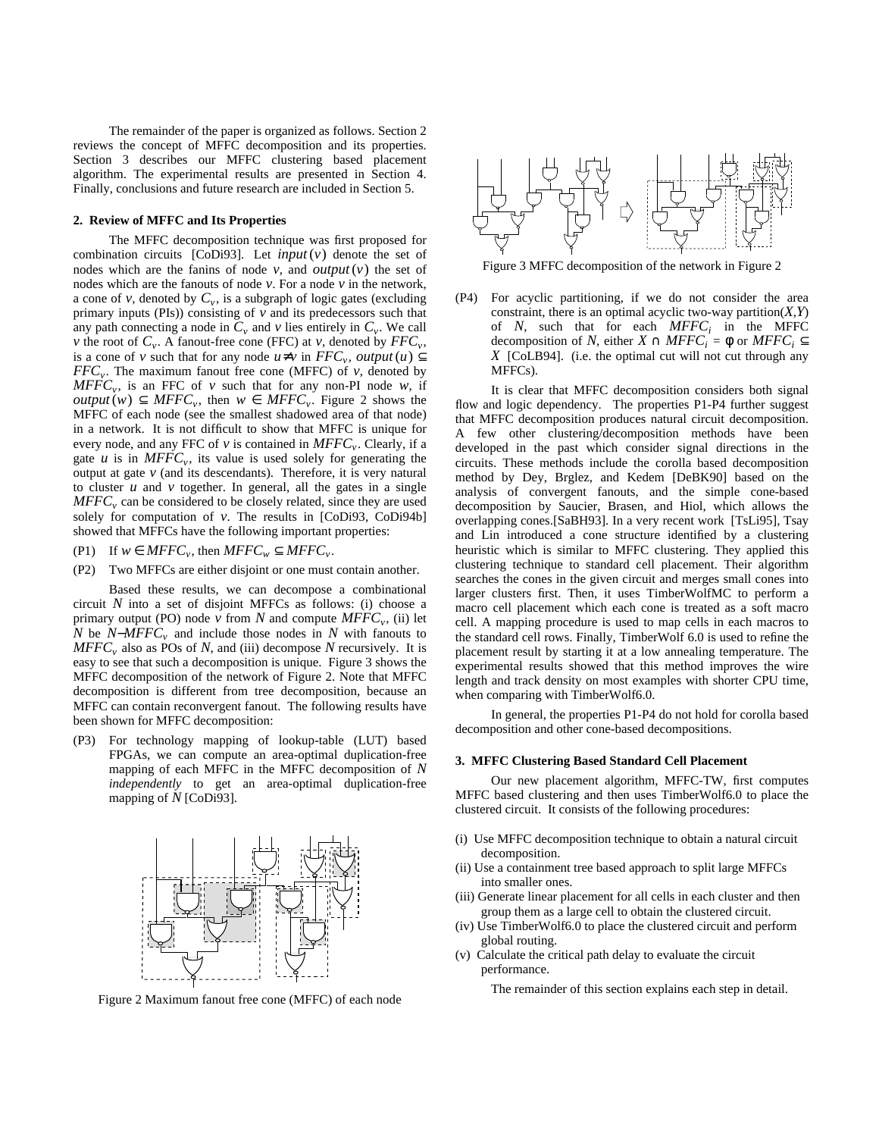The remainder of the paper is organized as follows. Section 2 reviews the concept of MFFC decomposition and its properties. Section 3 describes our MFFC clustering based placement algorithm. The experimental results are presented in Section 4. Finally, conclusions and future research are included in Section 5.

# **2. Review of MFFC and Its Properties**

The MFFC decomposition technique was first proposed for combination circuits [CoDi93]. Let  $input(v)$  denote the set of nodes which are the fanins of node  $v$ , and *output*  $(v)$  the set of nodes which are the fanouts of node  $\nu$ . For a node  $\nu$  in the network, a cone of *v*, denoted by  $C_v$ , is a subgraph of logic gates (excluding primary inputs (PIs)) consisting of *v* and its predecessors such that any path connecting a node in  $C_v$  and  $v$  lies entirely in  $C_v$ . We call *v* the root of  $C_v$ . A fanout-free cone (FFC) at *v*, denoted by  $FFC_v$ , is a cone of *v* such that for any node  $u \neq v$  in  $FFC_v$ , output  $(u) \subseteq$  $FFC_v$ . The maximum fanout free cone (MFFC) of *v*, denoted by  $MFFC_v$ , is an FFC of *v* such that for any non-PI node *w*, if *output*(*w*) ⊆ *MFFC*<sub>*v*</sub>, then *w* ∈ *MFFC*<sub>*v*</sub>. Figure 2 shows the MFFC of each node (see the smallest shadowed area of that node) in a network. It is not difficult to show that MFFC is unique for every node, and any FFC of *v* is contained in *MFFC<sup>v</sup>* . Clearly, if a gate  $u$  is in  $MFFC_v$ , its value is used solely for generating the output at gate  $\nu$  (and its descendants). Therefore, it is very natural to cluster  $u$  and  $v$  together. In general, all the gates in a single *MFFC<sup>v</sup>* can be considered to be closely related, since they are used solely for computation of *v*. The results in [CoDi93, CoDi94b] showed that MFFCs have the following important properties:

- (P1) If  $w \in MFFC_v$ , then  $MFFC_w \subseteq MFFC_v$ .
- (P2) Two MFFCs are either disjoint or one must contain another.

Based these results, we can decompose a combinational circuit *N* into a set of disjoint MFFCs as follows: (i) choose a primary output (PO) node  $\nu$  from  $N$  and compute  $MFFC_{\nu}$ , (ii) let *N* be *N*−*MFFC*<sub>*v*</sub> and include those nodes in *N* with fanouts to *MFFC<sup>v</sup>* also as POs of *N*, and (iii) decompose *N* recursively. It is easy to see that such a decomposition is unique. Figure 3 shows the MFFC decomposition of the network of Figure 2. Note that MFFC decomposition is different from tree decomposition, because an MFFC can contain reconvergent fanout. The following results have been shown for MFFC decomposition:

(P3) For technology mapping of lookup-table (LUT) based FPGAs, we can compute an area-optimal duplication-free mapping of each MFFC in the MFFC decomposition of *N independently* to get an area-optimal duplication-free mapping of *N* [CoDi93].



Figure 2 Maximum fanout free cone (MFFC) of each node



Figure 3 MFFC decomposition of the network in Figure 2

(P4) For acyclic partitioning, if we do not consider the area constraint, there is an optimal acyclic two-way partition $(X, Y)$ of *N*, such that for each *MFFC<sup>i</sup>* in the MFFC decomposition of *N*, either  $X \cap MFFC_i = \phi$  or  $MFFC_i \subseteq$ *X* [CoLB94]. (i.e. the optimal cut will not cut through any MFFCs).

It is clear that MFFC decomposition considers both signal flow and logic dependency. The properties P1-P4 further suggest that MFFC decomposition produces natural circuit decomposition. A few other clustering/decomposition methods have been developed in the past which consider signal directions in the circuits. These methods include the corolla based decomposition method by Dey, Brglez, and Kedem [DeBK90] based on the analysis of convergent fanouts, and the simple cone-based decomposition by Saucier, Brasen, and Hiol, which allows the overlapping cones.[SaBH93]. In a very recent work [TsLi95], Tsay and Lin introduced a cone structure identified by a clustering heuristic which is similar to MFFC clustering. They applied this clustering technique to standard cell placement. Their algorithm searches the cones in the given circuit and merges small cones into larger clusters first. Then, it uses TimberWolfMC to perform a macro cell placement which each cone is treated as a soft macro cell. A mapping procedure is used to map cells in each macros to the standard cell rows. Finally, TimberWolf 6.0 is used to refine the placement result by starting it at a low annealing temperature. The experimental results showed that this method improves the wire length and track density on most examples with shorter CPU time, when comparing with TimberWolf6.0.

In general, the properties P1-P4 do not hold for corolla based decomposition and other cone-based decompositions.

#### **3. MFFC Clustering Based Standard Cell Placement**

Our new placement algorithm, MFFC-TW, first computes MFFC based clustering and then uses TimberWolf6.0 to place the clustered circuit. It consists of the following procedures:

- (i) Use MFFC decomposition technique to obtain a natural circuit decomposition.
- (ii) Use a containment tree based approach to split large MFFCs into smaller ones.
- (iii) Generate linear placement for all cells in each cluster and then group them as a large cell to obtain the clustered circuit.
- (iv) Use TimberWolf6.0 to place the clustered circuit and perform global routing.
- (v) Calculate the critical path delay to evaluate the circuit performance.

The remainder of this section explains each step in detail.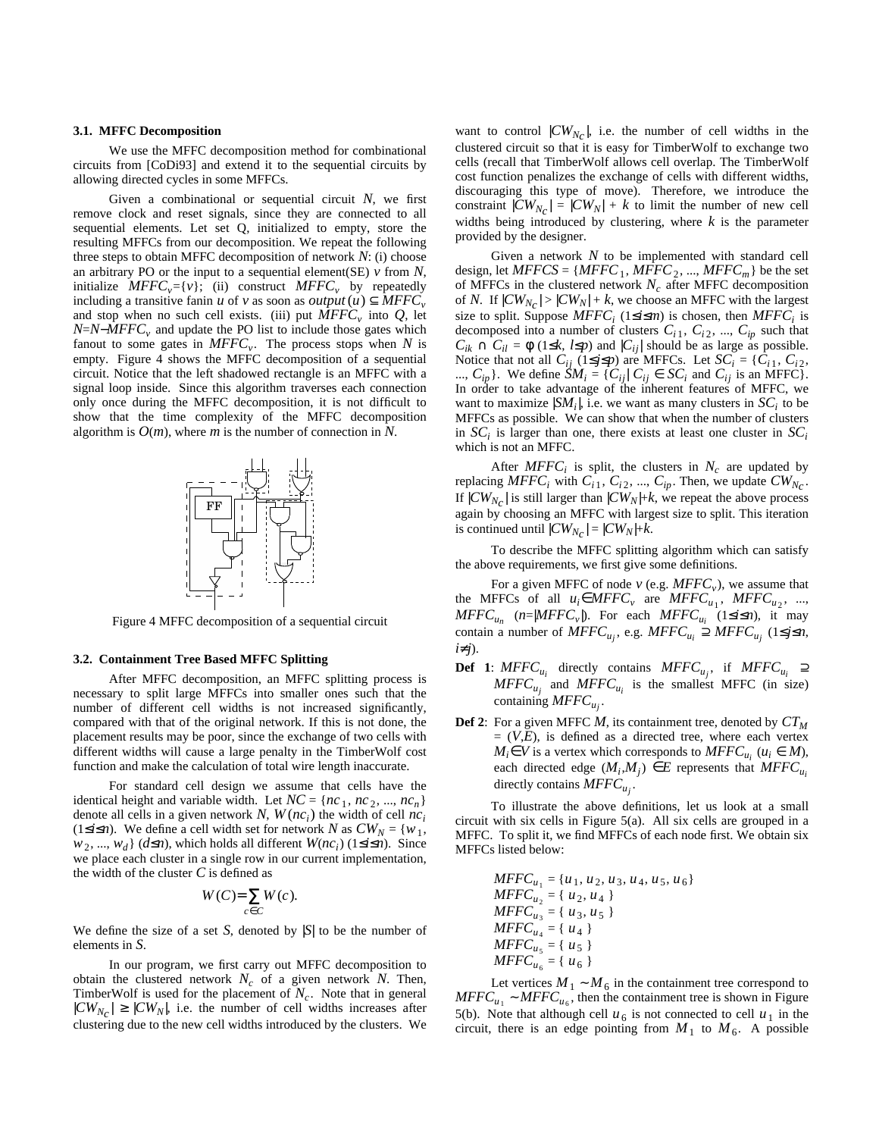## **3.1. MFFC Decomposition**

We use the MFFC decomposition method for combinational circuits from [CoDi93] and extend it to the sequential circuits by allowing directed cycles in some MFFCs.

Given a combinational or sequential circuit *N*, we first remove clock and reset signals, since they are connected to all sequential elements. Let set Q, initialized to empty, store the resulting MFFCs from our decomposition. We repeat the following three steps to obtain MFFC decomposition of network *N*: (i) choose an arbitrary PO or the input to a sequential element(SE)  $\nu$  from  $N$ , initialize  $MFFC_v = \{v\}$ ; (ii) construct  $MFFC_v$  by repeatedly including a transitive fanin *u* of *v* as soon as  $output(u) \subseteq MFFC_v$ and stop when no such cell exists. (iii) put *MFFC<sup>v</sup>* into *Q*, let *N*=*N*−*MFFC<sup>v</sup>* and update the PO list to include those gates which fanout to some gates in *MFFC<sup>v</sup>* . The process stops when *N* is empty. Figure 4 shows the MFFC decomposition of a sequential circuit. Notice that the left shadowed rectangle is an MFFC with a signal loop inside. Since this algorithm traverses each connection only once during the MFFC decomposition, it is not difficult to show that the time complexity of the MFFC decomposition algorithm is *O*(*m*), where *m* is the number of connection in *N*.



Figure 4 MFFC decomposition of a sequential circuit

## **3.2. Containment Tree Based MFFC Splitting**

After MFFC decomposition, an MFFC splitting process is necessary to split large MFFCs into smaller ones such that the number of different cell widths is not increased significantly, compared with that of the original network. If this is not done, the placement results may be poor, since the exchange of two cells with different widths will cause a large penalty in the TimberWolf cost function and make the calculation of total wire length inaccurate.

For standard cell design we assume that cells have the identical height and variable width. Let  $NC = \{nc_1, nc_2, ..., nc_n\}$ denote all cells in a given network *N*,  $W$ ( $nc<sub>i</sub>$ ) the width of cell  $nc<sub>i</sub>$ (1≤*i*≤*n*). We define a cell width set for network *N* as  $CW_N = \{w_1, w_2, \dots, w_N\}$ *w*<sub>2</sub>, ..., *w*<sub>*d*</sub></sub>} (*d*≤*n*), which holds all different *W*(*nc*<sub>*i*</sub>) (1≤*i*≤*n*). Since we place each cluster in a single row in our current implementation, the width of the cluster *C* is defined as

$$
W(C)=\sum_{c\in C}W(c).
$$

We define the size of a set  $S$ , denoted by  $|S|$  to be the number of elements in *S*.

In our program, we first carry out MFFC decomposition to obtain the clustered network  $N_c$  of a given network N. Then, TimberWolf is used for the placement of  $N_c$ . Note that in general  $|CW_{N_C}| \geq |CW_N|$ , i.e. the number of cell widths increases after clustering due to the new cell widths introduced by the clusters. We

want to control  $|CW_{N_C}|$ , i.e. the number of cell widths in the clustered circuit so that it is easy for TimberWolf to exchange two cells (recall that TimberWolf allows cell overlap. The TimberWolf cost function penalizes the exchange of cells with different widths, discouraging this type of move). Therefore, we introduce the constraint  $|CW_{N_C}| = |CW_N| + k$  to limit the number of new cell widths being introduced by clustering, where *k* is the parameter provided by the designer.

Given a network *N* to be implemented with standard cell design, let  $MFFCS = \{MFFC_1, MFFC_2, ..., MFFC_m\}$  be the set of MFFCs in the clustered network  $N_c$  after MFFC decomposition of *N*. If  $|CW_{N_C}| > |CW_N| + k$ , we choose an MFFC with the largest size to split. Suppose  $MFFC_i$  (1≤*i*≤*m*) is chosen, then  $MFFC_i$  is decomposed into a number of clusters  $C_{i1}$ ,  $C_{i2}$ , ...,  $C_{ip}$  such that  $C_{ik} \cap C_{il} = \phi$  (1≤*k*, *l*≤*p*) and  $|C_{ij}|$  should be as large as possible. Notice that not all  $C_{ij}$  (1≤*j*≤*p*) are MFFCs. Let  $SC_i = \{C_{i1}, C_{i2}, \}$ ...,  $C_{ip}$ . We define  $\tilde{S}M_i = \{C_{ij} | C_{ij} \in SC_i \text{ and } C_{ij} \text{ is an MFFC}\}.$ In order to take advantage of the inherent features of MFFC, we want to maximize  $|SM_i|$ , i.e. we want as many clusters in  $SC_i$  to be MFFCs as possible. We can show that when the number of clusters in  $SC<sub>i</sub>$  is larger than one, there exists at least one cluster in  $SC<sub>i</sub>$ which is not an MFFC.

After  $MFFC_i$  is split, the clusters in  $N_c$  are updated by replacing  $MFFC_i$  with  $C_{i1}$ ,  $C_{i2}$ , ...,  $C_{ip}$ . Then, we update  $CW_{N_C}$ . If  $|CW_{N_C}|$  is still larger than  $|CW_N|+k$ , we repeat the above process again by choosing an MFFC with largest size to split. This iteration is continued until  $|CW_{N_C}| = |CW_N| + k$ .

To describe the MFFC splitting algorithm which can satisfy the above requirements, we first give some definitions.

For a given MFFC of node  $v$  (e.g.  $MFFC_v$ ), we assume that the MFFCs of all  $u_i \in MFFC_v$  are  $MFFC_{u_1}$ ,  $MFFC_{u_2}$ , ...,  $MFFC_{u_n}$  (*n*=| $MFFC_v$ |). For each  $MFFC_{u_i}$  (1≤*i*≤*n*), it may contain a number of  $MFFC_{u_j}$ , e.g.  $MFFC_{u_i} \supseteq MFFC_{u_j}$  (1≤*j*≤*n*, *i*≠*j*).

- **Def 1**:  $MFFC_{u_i}$  directly contains  $MFFC_{u_j}$ , if  $MFFC_{u_i} \supseteq$  $MFFC_{u_j}$  and  $MFFC_{u_i}$  is the smallest MFFC (in size) containing *MFFC<sup>u</sup><sup>j</sup>* .
- **Def 2**: For a given MFFC *M*, its containment tree, denoted by *CT<sup>M</sup>*  $= (V,E)$ , is defined as a directed tree, where each vertex  $M_i \in V$  is a vertex which corresponds to  $MFFC_{u_i}$  ( $u_i \in M$ ), each directed edge  $(M_i, M_j) \in E$  represents that  $MFFC_{u_i}$ directly contains *MFFC<sup>u</sup><sup>j</sup>* .

To illustrate the above definitions, let us look at a small circuit with six cells in Figure 5(a). All six cells are grouped in a MFFC. To split it, we find MFFCs of each node first. We obtain six MFFCs listed below:

$$
MFFC_{u_1} = \{u_1, u_2, u_3, u_4, u_5, u_6\}
$$
  
\n
$$
MFFC_{u_2} = \{u_2, u_4\}
$$
  
\n
$$
MFFC_{u_3} = \{u_3, u_5\}
$$
  
\n
$$
MFFC_{u_4} = \{u_4\}
$$
  
\n
$$
MFFC_{u_5} = \{u_5\}
$$
  
\n
$$
MFFC_{u_6} = \{u_6\}
$$

Let vertices  $M_1 \sim M_6$  in the containment tree correspond to  $MFFC_{u_1} \sim MFFC_{u_6}$ , then the containment tree is shown in Figure 5(b). Note that although cell  $u_6$  is not connected to cell  $u_1$  in the circuit, there is an edge pointing from  $M_1$  to  $M_6$ . A possible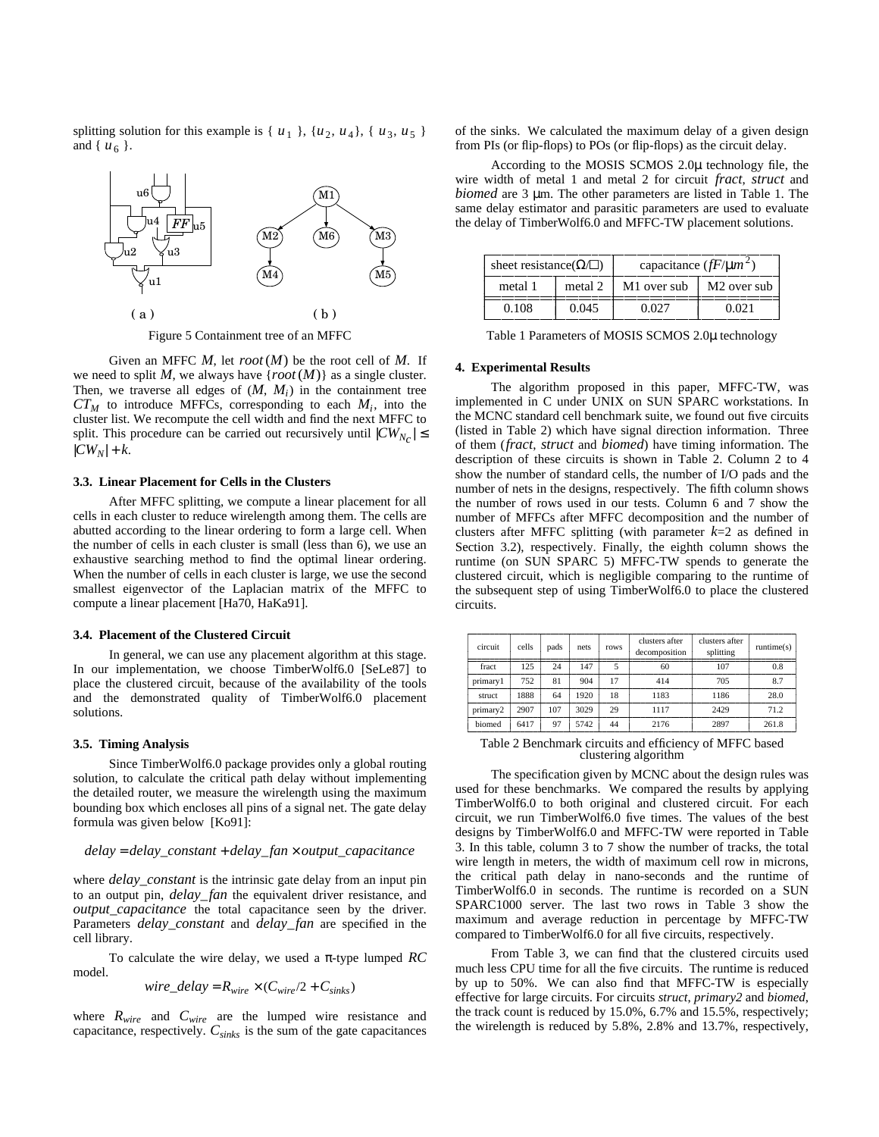splitting solution for this example is  $\{u_1\}$ ,  $\{u_2, u_4\}$ ,  $\{u_3, u_5\}$ and {  $u_6$  }.



Figure 5 Containment tree of an MFFC

Given an MFFC *M*, let *root*(*M*) be the root cell of *M*. If we need to split M, we always have  $\{root(M)\}\$ as a single cluster. Then, we traverse all edges of  $(M, M<sub>i</sub>)$  in the containment tree  $CT_M$  to introduce MFFCs, corresponding to each  $M_i$ , into the cluster list. We recompute the cell width and find the next MFFC to split. This procedure can be carried out recursively until  $|CW_{N_C}| \le$  $|CW_N| + k$ .

# **3.3. Linear Placement for Cells in the Clusters**

After MFFC splitting, we compute a linear placement for all cells in each cluster to reduce wirelength among them. The cells are abutted according to the linear ordering to form a large cell. When the number of cells in each cluster is small (less than 6), we use an exhaustive searching method to find the optimal linear ordering. When the number of cells in each cluster is large, we use the second smallest eigenvector of the Laplacian matrix of the MFFC to compute a linear placement [Ha70, HaKa91].

# **3.4. Placement of the Clustered Circuit**

In general, we can use any placement algorithm at this stage. In our implementation, we choose TimberWolf6.0 [SeLe87] to place the clustered circuit, because of the availability of the tools and the demonstrated quality of TimberWolf6.0 placement solutions.

## **3.5. Timing Analysis**

Since TimberWolf6.0 package provides only a global routing solution, to calculate the critical path delay without implementing the detailed router, we measure the wirelength using the maximum bounding box which encloses all pins of a signal net. The gate delay formula was given below [Ko91]:

## *delay* = *delay\_constant* + *delay\_fan* × *output\_capacitance*

where *delay\_constant* is the intrinsic gate delay from an input pin to an output pin, *delay\_fan* the equivalent driver resistance, and *output\_capacitance* the total capacitance seen by the driver. Parameters *delay\_constant* and *delay\_fan* are specified in the cell library.

To calculate the wire delay, we used a π-type lumped *RC* model.

$$
wire\_delay = R_{wire} \times (C_{wire}/2 + C_{sinks})
$$

where  $R_{wire}$  and  $C_{wire}$  are the lumped wire resistance and capacitance, respectively. *Csinks* is the sum of the gate capacitances of the sinks. We calculated the maximum delay of a given design from PIs (or flip-flops) to POs (or flip-flops) as the circuit delay.

According to the MOSIS SCMOS 2.0µ technology file, the wire width of metal 1 and metal 2 for circuit *fract*, *struct* and *biomed* are 3 µm. The other parameters are listed in Table 1. The same delay estimator and parasitic parameters are used to evaluate the delay of TimberWolf6.0 and MFFC-TW placement solutions.

| sheet resistance( $\Omega/\square$ ) |         | capacitance $(fF/\mu m^2)$ |                         |  |
|--------------------------------------|---------|----------------------------|-------------------------|--|
| metal 1                              | metal 2 | M1 over sub                | M <sub>2</sub> over sub |  |
| 0.108                                | 0.045   | 0.027                      | 0.021                   |  |

---Table 1 Parameters of MOSIS SCMOS 2.0µ technology

--------------------

## **4. Experimental Results**

--------------------

The algorithm proposed in this paper, MFFC-TW, was implemented in C under UNIX on SUN SPARC workstations. In the MCNC standard cell benchmark suite, we found out five circuits (listed in Table 2) which have signal direction information. Three of them (*fract*, *struct* and *biomed*) have timing information. The description of these circuits is shown in Table 2. Column 2 to 4 show the number of standard cells, the number of I/O pads and the number of nets in the designs, respectively. The fifth column shows the number of rows used in our tests. Column 6 and 7 show the number of MFFCs after MFFC decomposition and the number of clusters after MFFC splitting (with parameter *k*=2 as defined in Section 3.2), respectively. Finally, the eighth column shows the runtime (on SUN SPARC 5) MFFC-TW spends to generate the clustered circuit, which is negligible comparing to the runtime of the subsequent step of using TimberWolf6.0 to place the clustered circuits.

| circuit  | cells | pads | nets | rows | clusters after<br>decomposition | clusters after<br>splitting | $\text{ runtime}(s)$ |
|----------|-------|------|------|------|---------------------------------|-----------------------------|----------------------|
| fract    | 125   | 24   | 147  |      | 60                              | 107                         | 0.8                  |
| primary1 | 752   | 81   | 904  | 17   | 414                             | 705                         | 8.7                  |
| struct   | 1888  | 64   | 1920 | 18   | 1183                            | 1186                        | 28.0                 |
| primary2 | 2907  | 107  | 3029 | 29   | 1117                            | 2429                        | 71.2                 |
| biomed   | 6417  | 97   | 5742 | 44   | 2176                            | 2897                        | 261.8                |

Table 2 Benchmark circuits and efficiency of MFFC based clustering algorithm

The specification given by MCNC about the design rules was used for these benchmarks. We compared the results by applying TimberWolf6.0 to both original and clustered circuit. For each circuit, we run TimberWolf6.0 five times. The values of the best designs by TimberWolf6.0 and MFFC-TW were reported in Table 3. In this table, column 3 to 7 show the number of tracks, the total wire length in meters, the width of maximum cell row in microns, the critical path delay in nano-seconds and the runtime of TimberWolf6.0 in seconds. The runtime is recorded on a SUN SPARC1000 server. The last two rows in Table 3 show the maximum and average reduction in percentage by MFFC-TW compared to TimberWolf6.0 for all five circuits, respectively.

From Table 3, we can find that the clustered circuits used much less CPU time for all the five circuits. The runtime is reduced by up to 50%. We can also find that MFFC-TW is especially effective for large circuits. For circuits *struct*, *primary2* and *biomed*, the track count is reduced by 15.0%, 6.7% and 15.5%, respectively; the wirelength is reduced by 5.8%, 2.8% and 13.7%, respectively,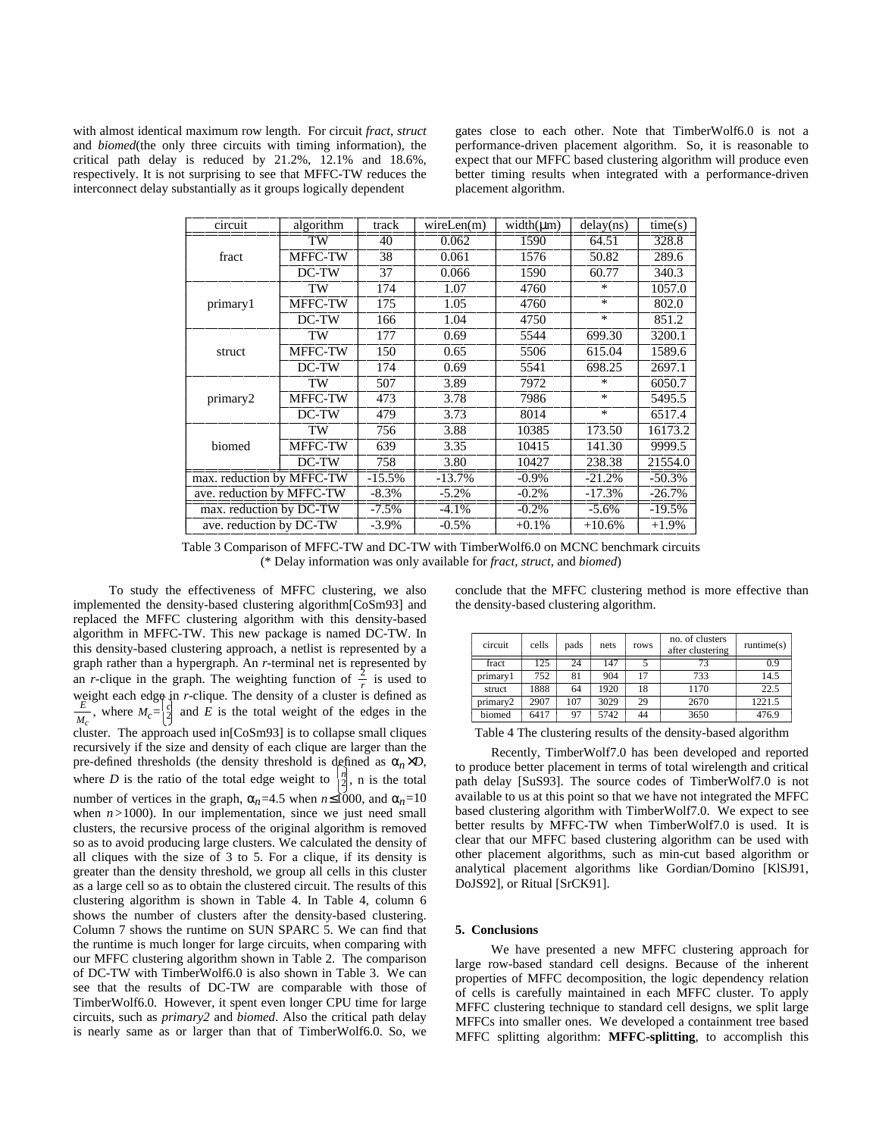with almost identical maximum row length. For circuit *fract*, *struct* and *biomed*(the only three circuits with timing information), the critical path delay is reduced by 21.2%, 12.1% and 18.6%, respectively. It is not surprising to see that MFFC-TW reduces the interconnect delay substantially as it groups logically dependent

gates close to each other. Note that TimberWolf6.0 is not a performance-driven placement algorithm. So, it is reasonable to expect that our MFFC based clustering algorithm will produce even better timing results when integrated with a performance-driven placement algorithm.

| circuit                   | algorithm      | track    | wireLen(m) | $width(\mu m)$ | delay(ns) | time(s)   |
|---------------------------|----------------|----------|------------|----------------|-----------|-----------|
|                           | TW             | 40       | 0.062      | 1590           | 64.51     | 328.8     |
| fract                     | MFFC-TW        | 38       | 0.061      | 1576           | 50.82     | 289.6     |
|                           | DC-TW          | 37       | 0.066      | 1590           | 60.77     | 340.3     |
|                           | TW             | 174      | 1.07       | 4760           | $\ast$    | 1057.0    |
| primary1                  | MFFC-TW        | 175      | 1.05       | 4760           | $\ast$    | 802.0     |
|                           | DC-TW          | 166      | 1.04       | 4750           | $\ast$    | 851.2     |
|                           | TW             | 177      | 0.69       | 5544           | 699.30    | 3200.1    |
| struct                    | <b>MFFC-TW</b> | 150      | 0.65       | 5506           | 615.04    | 1589.6    |
|                           | DC-TW          | 174      | 0.69       | 5541           | 698.25    | 2697.1    |
|                           | TW             | 507      | 3.89       | 7972           | *         | 6050.7    |
| primary2                  | MFFC-TW        | 473      | 3.78       | 7986           | $\ast$    | 5495.5    |
|                           | DC-TW          | 479      | 3.73       | 8014           | $\ast$    | 6517.4    |
|                           | TW             | 756      | 3.88       | 10385          | 173.50    | 16173.2   |
| biomed                    | <b>MFFC-TW</b> | 639      | 3.35       | 10415          | 141.30    | 9999.5    |
|                           | DC-TW          | 758      | 3.80       | 10427          | 238.38    | 21554.0   |
| max. reduction by MFFC-TW |                | $-15.5%$ | $-13.7\%$  | $-0.9\%$       | $-21.2%$  | $-50.3%$  |
| ave. reduction by MFFC-TW |                | $-8.3\%$ | $-5.2%$    | $-0.2%$        | $-17.3%$  | $-26.7%$  |
| max. reduction by DC-TW   |                | $-7.5\%$ | $-4.1\%$   | $-0.2\%$       | $-5.6\%$  | $-19.5\%$ |
| ave. reduction by DC-TW   |                | $-3.9\%$ | $-0.5%$    | $+0.1\%$       | $+10.6%$  | $+1.9\%$  |

Table 3 Comparison of MFFC-TW and DC-TW with TimberWolf6.0 on MCNC benchmark circuits (\* Delay information was only available for *fract*, *struct*, and *biomed*)

To study the effectiveness of MFFC clustering, we also implemented the density-based clustering algorithm[CoSm93] and replaced the MFFC clustering algorithm with this density-based algorithm in MFFC-TW. This new package is named DC-TW. In this density-based clustering approach, a netlist is represented by a graph rather than a hypergraph. An *r*-terminal net is represented by an *r*-clique in the graph. The weighting function of  $\frac{2}{r}$  is used to weight each edge in *r*-clique. The density of a cluster is defined as  $\frac{E}{M_c}$ , where  $M_c = \begin{bmatrix} 2 \\ 2 \end{bmatrix}$  and *E* is the total weight of the edges in the cluster. The approach used in[CoSm93] is to collapse small cliques recursively if the size and density of each clique are larger than the pre-defined thresholds (the density threshold is defined as  $\alpha_n \times D$ , where *D* is the ratio of the total edge weight to  $\begin{bmatrix} n \\ 2 \end{bmatrix}$ , n is the total number of vertices in the graph,  $\alpha_n = 4.5$  when  $n \leq 1000$ , and  $\alpha_n = 10$ when  $n > 1000$ ). In our implementation, since we just need small clusters, the recursive process of the original algorithm is removed so as to avoid producing large clusters. We calculated the density of all cliques with the size of 3 to 5. For a clique, if its density is greater than the density threshold, we group all cells in this cluster as a large cell so as to obtain the clustered circuit. The results of this clustering algorithm is shown in Table 4. In Table 4, column 6 shows the number of clusters after the density-based clustering. Column 7 shows the runtime on SUN SPARC 5. We can find that the runtime is much longer for large circuits, when comparing with our MFFC clustering algorithm shown in Table 2. The comparison of DC-TW with TimberWolf6.0 is also shown in Table 3. We can see that the results of DC-TW are comparable with those of TimberWolf6.0. However, it spent even longer CPU time for large circuits, such as *primary2* and *biomed*. Also the critical path delay is nearly same as or larger than that of TimberWolf6.0. So, we conclude that the MFFC clustering method is more effective than the density-based clustering algorithm.

| circuit  | cells | pads | nets | rows | no. of clusters<br>after clustering | $\text{ runtime}(s)$ |
|----------|-------|------|------|------|-------------------------------------|----------------------|
| fract    | 125   | 24   | 147  |      | 73                                  | 0.9                  |
| primary1 | 752   | 81   | 904  | 17   | 733                                 | 14.5                 |
| struct   | 1888  | 64   | 1920 | 18   | 1170                                | 22.5                 |
| primary2 | 2907  | 107  | 3029 | 29   | 2670                                | 1221.5               |
| biomed   | 6417  | 97   | 5742 | 44   | 3650                                | 476.9                |

Recently, TimberWolf7.0 has been developed and reported to produce better placement in terms of total wirelength and critical path delay [SuS93]. The source codes of TimberWolf7.0 is not available to us at this point so that we have not integrated the MFFC based clustering algorithm with TimberWolf7.0. We expect to see better results by MFFC-TW when TimberWolf7.0 is used. It is clear that our MFFC based clustering algorithm can be used with other placement algorithms, such as min-cut based algorithm or analytical placement algorithms like Gordian/Domino [KlSJ91, DoJS92], or Ritual [SrCK91].

# **5. Conclusions**

We have presented a new MFFC clustering approach for large row-based standard cell designs. Because of the inherent properties of MFFC decomposition, the logic dependency relation of cells is carefully maintained in each MFFC cluster. To apply MFFC clustering technique to standard cell designs, we split large MFFCs into smaller ones. We developed a containment tree based MFFC splitting algorithm: **MFFC-splitting**, to accomplish this